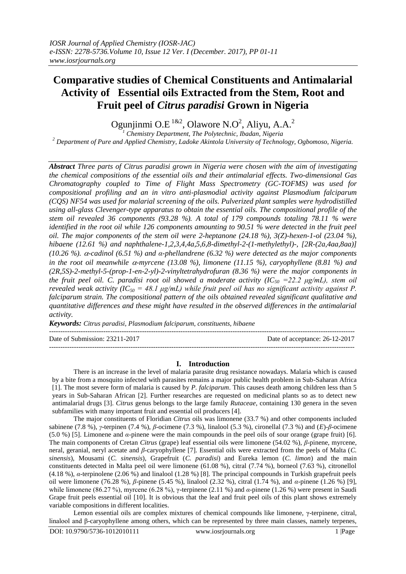# **Comparative studies of Chemical Constituents and Antimalarial Activity of Essential oils Extracted from the Stem, Root and Fruit peel of** *Citrus paradisi* **Grown in Nigeria**

Ogunjinmi O.E  $^{1\&2}$ , Olawore N.O<sup>2</sup>, Aliyu, A.A.<sup>2</sup>

*<sup>1</sup> Chemistry Department, The Polytechnic, Ibadan, Nigeria <sup>2</sup> Department of Pure and Applied Chemistry, Ladoke Akintola University of Technology, Ogbomoso, Nigeria.*

*Abstract Three parts of Citrus paradisi grown in Nigeria were chosen with the aim of investigating the chemical compositions of the essential oils and their antimalarial effects. Two-dimensional Gas Chromatography coupled to Time of Flight Mass Spectrometry (GC-TOFMS) was used for compositional profiling and an in vitro anti-plasmodial activity against Plasmodium falciparum (CQS) NF54 was used for malarial screening of the oils. Pulverized plant samples were hydrodistilled using all-glass Clevenger-type apparatus to obtain the essential oils. The compositional profile of the stem oil revealed 36 components (93.28 %). A total of 179 compounds totaling 78.11 % were identified in the root oil while 126 components amounting to 90.51 % were detected in the fruit peel oil. The major components of the stem oil were 2-heptanone (24.18 %), 3(Z)-hexen-1-ol (23.04 %), hibaene (12.61 %) and naphthalene-1,2,3,4,4a,5,6,8-dimethyl-2-(1-methylethyl)-, [2R-(2a,4aa,8aa)] (10.26 %). -cadinol (6.51 %) and α-phellandrene (6.32 %) were detected as the major components*  in the root oil meanwhile  $\alpha$ -myrcene (13.08 %), limonene (11.15 %), caryophyllene (8.81 %) and *(2R,5S)-2-methyl-5-(prop-1-en-2-yl)-2-vinyltetrahydrofuran (8.36 %) were the major components in the fruit peel oil. C. paradisi root oil showed a moderate activity (IC<sub>50</sub> =22.2*  $\mu$ *g/mL), stem oil revealed weak activity (IC*<sub>50</sub> = 48.1  $\mu$ g/mL) while fruit peel oil has no significant activity against P. *falciparum strain. The compositional pattern of the oils obtained revealed significant qualitative and quantitative differences and these might have resulted in the observed differences in the antimalarial activity.*

*Keywords: Citrus paradisi, Plasmodium falciparum, constituents, hibaene*

---------------------------------------------------------------------------------------------------------------------------------------

Date of Submission: 23211-2017 Date of acceptance: 26-12-2017

## **I. Introduction**

---------------------------------------------------------------------------------------------------------------------------------------

There is an increase in the level of malaria parasite drug resistance nowadays. Malaria which is caused by a bite from a mosquito infected with parasites remains a major public health problem in Sub-Saharan Africa [1]. The most severe form of malaria is caused by *P. falciparum*. This causes death among children less than 5 years in Sub-Saharan African [2]. Further researches are requested on medicinal plants so as to detect new antimalarial drugs [3]. *Citrus* genus belongs to the large family *Rutaceae*, containing 130 genera in the seven subfamilies with many important fruit and essential oil producers [4].

The major constituents of Floridian *Citrus* oils was limonene (33.7 %) and other components included sabinene (7.8 %), *γ*-terpinen (7.4 %), *β*-ocimene (7.3 %), linalool (5.3 %), cironellal (7.3 %) and (*E*)-*β*-ocimene (5.0 %) [5]. Limonene and *α*-pinene were the main compounds in the peel oils of sour orange (grape fruit) [6]. The main components of Cretan *Citrus* (grape) leaf essential oils were limonene (54.02 %), *β*-pinene, myrcene, neral, geranial, neryl acetate and *β*-caryophyllene [7]. Essential oils were extracted from the peels of Malta (*C. sinensis*), Mousami (*C. sinensis*), Grapefruit (*C. paradisi*) and Eureka lemon (*C. limon*) and the main constituents detected in Malta peel oil were limonene (61.08 %), citral (7.74 %), borneol (7.63 %), citronellol (4.18 %), *α*-terpinolene (2.06 %) and linalool (1.28 %) [8]. The principal compounds in Turkish grapefruit peels oil were limonene (76.28 %), *β*-pinene (5.45 %), linalool (2.32 %), citral (1.74 %), and *α*-pinene (1.26 %) [9], while limonene (86.27 %), myrcene (6.28 %), γ-terpinene (2.11 %) and *α*-pinene (1.26 %) were present in Saudi Grape fruit peels essential oil [10]. It is obvious that the leaf and fruit peel oils of this plant shows extremely variable compositions in different localities.

Lemon essential oils are complex mixtures of chemical compounds like limonene, γ-terpinene, citral, linalool and β-caryophyllene among others, which can be represented by three main classes, namely terpenes,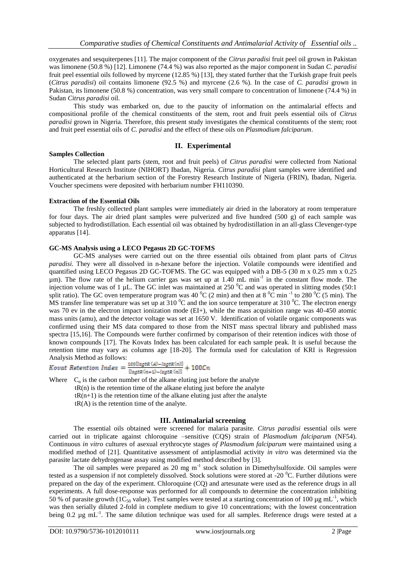oxygenates and sesquiterpenes [11]. The major component of the *Citrus paradisi* fruit peel oil grown in Pakistan was limonene (50.8 %) [12]. Limonene (74.4 %) was also reported as the major component in Sudan *C. paradisi* fruit peel essential oils followed by myrcene (12.85 %) [13], they stated further that the Turkish grape fruit peels (*Citrus paradisi*) oil contains limonene (92.5 %) and myrcene (2.6 %). In the case of *C. paradisi* grown in Pakistan, its limonene (50.8 %) concentration, was very small compare to concentration of limonene (74.4 %) in Sudan *Citrus paradisi* oil.

This study was embarked on, due to the paucity of information on the antimalarial effects and compositional profile of the chemical constituents of the stem, root and fruit peels essential oils of *Citrus paradisi* grown in Nigeria. Therefore, this present study investigates the chemical constituents of the stem; root and fruit peel essential oils of *C. paradisi* and the effect of these oils on *Plasmodium falciparum*.

### **II. Experimental**

### **Samples Collection**

The selected plant parts (stem, root and fruit peels) of *Citrus paradisi* were collected from National Horticultural Research Institute (NIHORT) Ibadan, Nigeria. *Citrus paradisi* plant samples were identified and authenticated at the herbarium section of the Forestry Research Institute of Nigeria (FRIN), Ibadan, Nigeria. Voucher specimens were deposited with herbarium number FH110390.

### **Extraction of the Essential Oils**

The freshly collected plant samples were immediately air dried in the laboratory at room temperature for four days. The air dried plant samples were pulverized and five hundred (500 g) of each sample was subjected to hydrodistillation. Each essential oil was obtained by hydrodistillation in an all-glass Clevenger-type apparatus [14].

## **GC-MS Analysis using a LECO Pegasus 2D GC-TOFMS**

GC-MS analyses were carried out on the three essential oils obtained from plant parts of *Citrus paradisi*. They were all dissolved in n-hexane before the injection. Volatile compounds were identified and quantified using LECO Pegasus 2D GC-TOFMS. The GC was equipped with a DB-5 (30 m x 0.25 mm x 0.25  $\mu$ m). The flow rate of the helium carrier gas was set up at 1.40 mL min<sup>-1</sup> in the constant flow mode. The injection volume was of 1 µL. The GC inlet was maintained at 250  $\rm{^0C}$  and was operated in slitting modes (50:1) split ratio). The GC oven temperature program was 40  $^0C$  (2 min) and then at 8  $^0C$  min<sup>-1</sup> to 280  $^0C$  (5 min). The MS transfer line temperature was set up at  $310\,^0$ C and the ion source temperature at  $310\,^0$ C. The electron energy was 70 ev in the electron impact ionization mode (EI+), while the mass acquisition range was 40-450 atomic mass units (amu), and the detector voltage was set at 1650 V. Identification of volatile organic components was confirmed using their MS data compared to those from the NIST mass spectral library and published mass spectra [15,16]. The Compounds were further confirmed by comparison of their retention indices with those of known compounds [17]. The Kovats Index has been calculated for each sample peak. It is useful because the retention time may vary as columns age [18-20]. The formula used for calculation of KRI is Regression Analysis Method as follows:

Where  $C_n$  is the carbon number of the alkane eluting just before the analyte  $tR(n)$  is the retention time of the alkane eluting just before the analyte  $tR(n+1)$  is the retention time of the alkane eluting just after the analyte  $tR(A)$  is the retention time of the analyte.

### **III. Antimalarial screening**

The essential oils obtained were screened for malaria parasite. *Citrus paradisi* essential oils were carried out in triplicate against chloroquine –sensitive (CQS) strain of *Plasmodium falciparum* (NF54). Continuous *in vitro* cultures of asexual erythrocyte stages *of Plasmodium falciparum* were maintained using a modified method of [21]. Quantitative assessment of antiplasmodial activity *in vitro* was determined via the parasite lactate dehydrogenase assay using modified method described by [3].

The oil samples were prepared as 20 mg  $m^{-1}$  stock solution in Dimethylsulfoxide. Oil samples were tested as a suspension if not completely dissolved. Stock solutions were stored at -20  $^{\circ}$ C. Further dilutions were prepared on the day of the experiment. Chloroquine (CQ) and artesunate were used as the reference drugs in all experiments. A full dose-response was performed for all compounds to determine the concentration inhibiting 50 % of parasite growth (1C<sub>50</sub> value). Test samples were tested at a starting concentration of 100 µg mL<sup>-1</sup>, which was then serially diluted 2-fold in complete medium to give 10 concentrations; with the lowest concentration being 0.2  $\mu$ g mL<sup>-1</sup>. The same dilution technique was used for all samples. Reference drugs were tested at a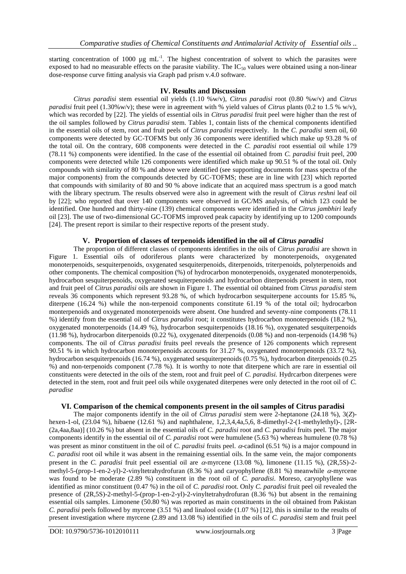starting concentration of 1000  $\mu$ g mL<sup>-1</sup>. The highest concentration of solvent to which the parasites were exposed to had no measurable effects on the parasite viability. The  $IC_{50}$  values were obtained using a non-linear dose-response curve fitting analysis via Graph pad prism v.4.0 software.

# **IV. Results and Discussion**

*Citrus paradisi* stem essential oil yields (1.10 %w/v), *Citrus paradisi* root (0.80 %w/v) and *Citrus paradisi* fruit peel (1.30%w/v); these were in agreement with % yield values of *Citrus* plants (0.2 to 1.5 % w/v), which was recorded by [22]. The yields of essential oils in *Citrus paradisi* fruit peel were higher than the rest of the oil samples followed by *Citrus paradisi* stem. Tables 1, contain lists of the chemical components identified in the essential oils of stem, root and fruit peels of *Citrus paradisi* respectively. In the *C. paradisi* stem oil, 60 components were detected by GC-TOFMS but only 36 components were identified which make up 93.28 % of the total oil. On the contrary, 608 components were detected in the *C. paradisi* root essential oil while 179 (78.11 %) components were identified. In the case of the essential oil obtained from *C. paradisi* fruit peel, 200 components were detected while 126 components were identified which make up 90.51 % of the total oil. Only compounds with similarity of 80 % and above were identified (see supporting documents for mass spectra of the major components) from the compounds detected by GC-TOFMS; these are in line with [23] which reported that compounds with similarity of 80 and 90 % above indicate that an acquired mass spectrum is a good match with the library spectrum. The results observed were also in agreement with the result of *Citrus reshni* leaf oil by [22]; who reported that over 140 components were observed in GC/MS analysis, of which 123 could be identified. One hundred and thirty-nine (139) chemical components were identified in the *Citrus jambhiri* leafy oil [23]. The use of two-dimensional GC-TOFMS improved peak capacity by identifying up to 1200 compounds [24]. The present report is similar to their respective reports of the present study.

# **V. Proportion of classes of terpenoids identified in the oil of** *Citrus paradisi*

The proportion of different classes of components identifies in the oils of *Citrus paradisi* are shown in Figure 1. Essential oils of odoriferous plants were characterized by monoterpenoids, oxygenated monoterpenoids, sesquiterpenoids, oxygenated sesquiterpenoids, diterpenoids, triterpenoids, polyterpenoids and other components. The chemical composition (%) of hydrocarbon monoterpenoids, oxygenated monoterpenoids, hydrocarbon sesquiterpenoids, oxygenated sesquiterpenoids and hydrocarbon diterpenoids present in stem, root and fruit peel of *Citrus paradisi* oils are shown in Figure 1. The essential oil obtained from *Citrus paradisi* stem reveals 36 components which represent 93.28 %, of which hydrocarbon sesquiterpene accounts for 15.85 %, diterpene (16.24 %) while the non-terpenoid components constitute 61.19 % of the total oil; hydrocarbon monterpenoids and oxygenated monoterpenoids were absent. One hundred and seventy-nine components (78.11 %) identify from the essential oil of *Citrus paradisi* root; it constitutes hydrocarbon monoterpenoids (18.2 %), oxygenated monoterpenoids (14.49 %), hydrocarbon sesquiterpenoids (18.16 %), oxygenated sesquiterpenoids (11.98 %), hydrocarbon diterpenoids (0.22 %), oxygenated diterpenoids (0.08 %) and non-terpenoids (14.98 %) components. The oil of *Citrus paradisi* fruits peel reveals the presence of 126 components which represent 90.51 % in which hydrocarbon monoterpenoids accounts for 31.27 %, oxygenated monoterpenoids (33.72 %), hydrocarbon sesquiterpenoids (16.74 %), oxygenated sesquiterpenoids (0.75 %), hydrocarbon diterpenoids (0.25 %) and non-terpenoids component (7.78 %). It is worthy to note that diterpene which are rare in essential oil constituents were detected in the oils of the stem, root and fruit peel of *C. paradisi.* Hydrcarbon diterpenes were detected in the stem, root and fruit peel oils while oxygenated diterpenes were only detected in the root oil of *C. paradise*

## **VI. Comparison of the chemical components present in the oil samples of Citrus paradisi**

The major components identify in the oil of *Citrus paradisi* stem were 2-heptanone (24.18 %), 3(*Z*) hexen-1-ol, (23.04 %), hibaene (12.61 %) and naphthalene, 1,2,3,4,4a,5,6, 8-dimethyl-2-(1-methylethyl)-, [2R- (2a,4aa,8aa)] (10.26 %) but absent in the essential oils of *C. paradisi* root and *C. paradisi* fruits peel. The major components identify in the essential oil of *C. paradisi* root were humulene (5.63 %) whereas humulene (0.78 %) was present as minor constituent in the oil of *C. paradisi* fruits peel.  $\alpha$ -cadinol (6.51 %) is a major compound in *C. paradisi* root oil while it was absent in the remaining essential oils. In the same vein, the major components present in the *C. paradisi* fruit peel essential oil are  $\alpha$ -myrcene (13.08 %), limonene (11.15 %), (2R,5S)-2methyl-5-(prop-1-en-2-yl)-2-vinyltetrahydrofuran (8.36 %) and caryophyllene (8.81 %) meanwhile  $\alpha$ -myrcene was found to be moderate (2.89 %) constituent in the root oil of *C. paradisi*. Moreso, caryophyllene was identified as minor constituent (0.47 %) in the oil of *C. paradisi* root. Only *C. paradisi* fruit peel oil revealed the presence of (2R,5S)-2-methyl-5-(prop-1-en-2-yl)-2-vinyltetrahydrofuran (8.36 %) but absent in the remaining essential oils samples. Limonene (50.80 %) was reported as main constituents in the oil obtained from Pakistan *C. paradisi* peels followed by myrcene (3.51 %) and linalool oxide (1.07 %) [12], this is similar to the results of present investigation where myrcene (2.89 and 13.08 %) identified in the oils of *C. paradisi* stem and fruit peel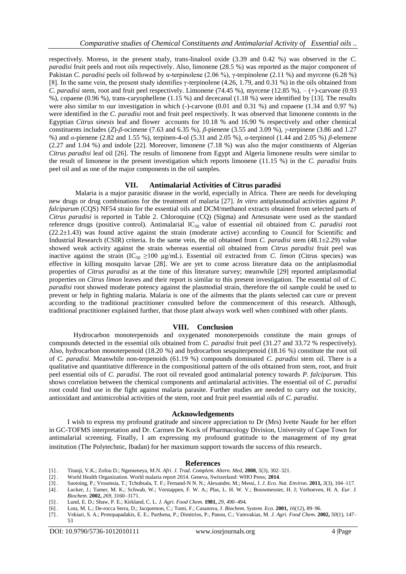respectively. Moreso, in the present study, trans-linalool oxide (3.39 and 0.42 %) was observed in the *C. paradisi* fruit peels and root oils respectively. Also, limonene (28.5 %) was reported as the major component of Pakistan *C. paradisi* peels oil followed by α-terpinolene (2.06 %), γ-terpinolene (2.11 %) and myrcene (6.28 %) [8]. In the same vein, the present study identifies γ-terpinolene (4.26, 1.79, and 0.31 %) in the oils obtained from *C. paradisi* stem, root and fruit peel respectively. Limonene (74.45 %), myrcene (12.85 %), – (+)-carvone (0.93 %), copaene (0.96 %), trans-caryophellene (1.15 %) and dececanal (1.18 %) were identified by [13]. The results were also similar to our investigation in which (-)-carvone (0.01 and 0.31 %) and copaene (1.34 and 0.97 %) were identified in the *C. paradisi* root and fruit peel respectively. It was observed that limonene contents in the Egyptian *Citrus sinesis* leaf and flower accounts for 10.18 % and 16.90 % respectively and other chemical constituents includes (*Z*)-*β*-ocimene (7.63 and 6.35 %), *β*-pienene (3.55 and 3.09 %), *γ*-terpinene (3.86 and 1.27 %) and *α*-pienene (2.82 and 1.55 %), terpinen-4-ol (5.31 and 2.05 %), *α*-terpineol (1.44 and 2.05 %) *β*-elemene (2.27 and 1.04 %) and indole [22]. Moreover, limonene (7.18 %) was also the major constituents of Algerian *Citrus paradisi* leaf oil [26]. The results of limonene from Egypt and Algeria limonene results were similar to the result of limonene in the present investigation which reports limonene (11.15 %) in the *C. paradisi* fruits peel oil and as one of the major components in the oil samples.

### **VII. Antimalarial Activities of Citrus paradisi**

Malaria is a major parasitic disease in the world, especially in Africa. There are needs for developing new drugs or drug combinations for the treatment of malaria [27]. *In vitro* antiplasmodial activities against *P. falciparum* (CQS) NF54 strain for the essential oils and DCM/methanol extracts obtained from selected parts of *Citrus paradisi* is reported in Table 2. Chloroquine (CQ) (Sigma) and Artesunate were used as the standard reference drugs (positive control). Antimalarial IC<sub>50</sub> value of essential oil obtained from *C. paradisi* root (22.2±1.43) was found active against the strain (moderate active) according to Council for Scientific and Industrial Research (CSIR) criteria. In the same vein, the oil obtained from *C. paradisi* stem (48.1±2.29) value showed weak activity against the strain whereas essential oil obtained from *Citrus paradisi* fruit peel was inactive against the strain  $(IC_{50} \ge 100 \text{ µg/mL})$ . Essential oil extracted from *C. limon* (Citrus species) was effective in killing mosquito larvae [28]. We are yet to come across literature data on the antiplasmodial properties of *Citrus paradisi* as at the time of this literature survey; meanwhile [29] reported antiplasmodial properties on *Citrus limon* leaves and their report is similar to this present investigation. The essential oil of *C. paradisi* root showed moderate potency against the plasmodial strain, therefore the oil sample could be used to prevent or help in fighting malaria. Malaria is one of the ailments that the plants selected can cure or prevent according to the traditional practitioner consulted before the commencement of this research. Although, traditional practitioner explained further, that those plant always work well when combined with other plants.

#### **VIII. Conclusion**

Hydrocarbon monoterpenoids and oxygenated monoterpenoids constitute the main groups of compounds detected in the essential oils obtained from *C. paradisi* fruit peel (31.27 and 33.72 % respectively). Also, hydrocarbon monoterpenoid (18.20 %) and hydrocarbon sesquiterpenoid (18.16 %) constitute the root oil of *C. paradisi*. Meanwhile non-terpenoids (61.19 %) compounds dominated *C. paradisi* stem oil. There is a qualitative and quantitative difference in the compositional pattern of the oils obtained from stem, root, and fruit peel essential oils of *C. paradisi*. The root oil revealed good antimalarial potency towards *P. falciparum*. This shows correlation between the chemical components and antimalarial activities. The essential oil of *C. paradisi* root could find use in the fight against malaria parasite. Further studies are needed to carry out the toxicity, antioxidant and antimicrobial activities of the stem, root and fruit peel essential oils of *C. paradisi*.

#### **Acknowledgements**

I wish to express my profound gratitude and sincere appreciation to Dr (Mrs) Ivette Naude for her effort in GC-TOFMS interpretation and Dr. Carmen De Kock of Pharmacology Division, University of Cape Town for antimalarial screening. Finally, I am expressing my profound gratitude to the management of my great institution (The Polytechnic, Ibadan) for her maximum support towards the success of this research.

#### **References**

- [1] . Titanji, V.K.; Zofou D.; Ngemeneya, M.N. *Afri. J. Trad. Complem. Altern. Med,* **2008**, *5*(3), 302–321.
- [2] . World Health Organization. World malaria report 2014. Geneva, Switzerland: WHO Press; **2014**.

- [5] . Lund, E. D.; Shaw, P. E.; Kirkland, C. L. *J. Agri. Food Chem.* **1981,** *29,* 490–494.
- [6] . Lota, M. L.; De-rocca Serra, D.; Jacquemon, C.; Tomi, F.; Casanova, J. *Biochem. System. Eco.* **2001,** *16*(12), 89–96.
- [7] . Vekiari, S. A.; Protopapadakis, E. E.; Parthena, P.; Dimitrios, P.; Panou, C.; Vamvakias, M. *J. Agri. Food Chem.* **2002,** *50*(1), 147– 53

<sup>[3] .</sup> Saotoing, P.; Vroumsia, T.; Tchobsala, T. F.; Fernand-N N. N.; Alexandre, M.; Messi, J. *J. Eco. Nat. Environ.* **2011,** *3*(3), 104–117.

Lucker, J.; Tamer, M. K.; Schwab, W.; Verstappen, F. W. A.; Plas, L. H. W. V.; Bouwmesster, H. J; Verhoeven, H. A. *Eur. J. Biochem.* **2002,** *269*, 3160–3171.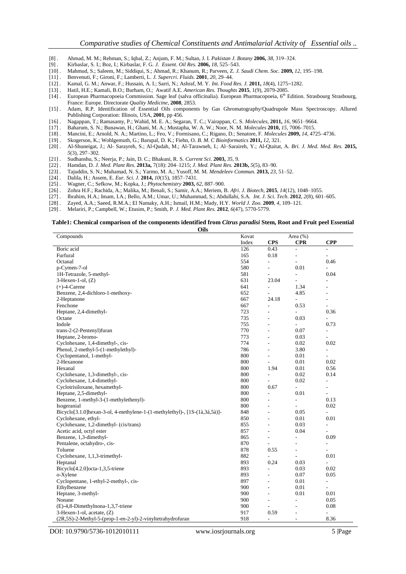- [8] . Ahmad, M. M.; Rehman, S.; Iqbal, Z.; Anjum, F. M.; Sultan, J. I. *Pakistan J. Botany* **2006,** *38*, 319‒324.
- [9] . Kirbaslar, S. I.; Boz, I.; Kirbaslar, F. G. *J. Essent. Oil Res*. **2006,** *18*, 525–543.
- [10] . Mahmud, S.; Saleem, M.; Siddiqui, S.; Ahmad, R.; Khanum, R.; Parveen, Z. *J. Saudi Chem. Soc.* **2009,** *12*, 195–198.
- [11] . Benvenuti, F.; Gironi, F.; Lamberti, L. *J. Supercri. Fluids*. **2001**, *20*, 29‒44.
- [12] . Kamal, G. M.; Anwar, F.; Hussain, A. I.; Sarri, N.; Ashraf, M. Y. *Int. Food Res. J.* **2011,** *18*(4), 1275–1282.
- [13] . Hatil, H.E.; Kamali, B.O.; Burham, O.; Awatif A.E. *American Res. Thoughts* **2015**, 1(9), 2079-2085.
- [14] . European Pharmacopoeia Commission. Sage leaf (salva officinalia). European Pharmacopoeia, 6<sup>th</sup> Edition. Strasbourg Strasbourg, France: Europe. Directorate *Quality Medicine*, **2008**, 2853.
- [15] . Adam, R.P. Identification of Essential Oils components by Gas Ghromatography/Quadrupole Mass Spectroscopy. Allured Publishing Corporation: Illinois, USA, **2001**, pp 456.
- [16] . Nagappan, T.; Ramasamy, P.; Wahid, M. E. A.; Segaran, T. C.; Vairappan, C. S. *Molecules*, **2011,** *16*, 9651–9664.
- [17] . Baharum, S. N.; Bunawan, H.; Ghani, M. A.; Mustapha, W. A. W.; Noor, N. M. *Molecules* **2010,** *15*, 7006‒7015.
- [18] . Mancini, E.; Arnold, N. A.; Martino, L.; Feo, V.; Formisano, C.; Rigano, D.; Senatore, F. *Molecules* **2009,** *14*, 4725–4736.
- [19] . Skogerson, K.; Wohlgemuth, G.; Barupal, D. K.; Fiehn, O. *B. M. C Bioinformatics* **2011,** *12*, 321.
- [20] . Al-Shuneigat, J.; Al- Sarayreh, S.; Al-Qudah, M.; Al-Tarawneh, I.; Al–Saraireh, Y.; Al-Qtaitat, A. *Bri. J. Med. Med. Res.* **2015,** *5*(3), 297‒302.
- 
- [21] . Sudhanshu, S.; Neerja, P.; Jain, D. C.; Bhakuni, R. S. *Current Sci.* **2003,** *35*, 9. [22] . Hamdan, D. *J. Med. Plant Res.* **2013a,** 7(18): 204‒1215; *J. Med. Plant Res.* **2013b,** *5*(5), 83‒90.
- [23] . Tajuddin, S. N.; Muhamad, N. S.; Yarmo, M. A.; Yusoff, M. M. *Mendeleev Commun.* **2013,** *23*, 51–52.
- 
- [25] . Wagner, C.; Sefkow, M.; Kopka, J.; *Phytochemistry* **2003,** *62*, 887–900.
- [24] . Dalila, H.; Assem, E. *Eur. Sci. J.* **2014**, *10*(15), 1857–7431.<br>[25] . Wagner, C.; Sefkow, M.; Kopka, J.; *Phytochemistry* **2003**, 6<br>[26] . Zohra H.F.; Rachida, A.; Malika, M.; Benali, S.; Samir, A.A [26] . Zohra H.F.; Rachida, A.; Malika, M.; Benali, S.; Samir, A.A.; Meriem, B. *Afri. J. Biotech*, **2015**, *14*(12), 1048–1055.
- [27] . Ibrahim, H.A.; Imam, I.A.; Bello, A.M.; Umar, U.; Muhammad, S.; Abdullahi, S.A. *Int. J. Sci. Tech.* **2012**, 2(8), 601–605.<br>[28] . Zayed, A.A.; Saeed, R.M.A.; El Namaky, A.H.; Ismail, H.M.; Mady, H.Y. *World J. Zoo.*
- [28] . Zayed, A.A.; Saeed, R.M.A.; El Namaky, A.H.; Ismail, H.M.; Mady, H.Y. *World J. Zoo*. **2009**, *4*, 109–121.
- [29] . Melariri, P.; Campbell, W.; Etusim, P.; Smith, P. *J. Med. Plant Res.* **2012**, *6*(47), 5770-5779.

#### **Table1: Chemical comparison of the components identified from** *Citrus paradisi* **Stem, Root and Fruit peel Essential Oils**

| Index<br><b>CPR</b><br><b>CPP</b><br><b>CPS</b><br>Boric acid<br>126<br>0.43<br>L.<br>÷<br>Furfural<br>165<br>0.18<br>$\overline{a}$<br>$\overline{a}$<br>554<br>Octanal<br>0.46<br>L.<br>L.<br>580<br>0.01<br>p-Cymen-7-ol<br>L,<br>L.<br>581<br>1H-Tetrazole, 5-methyl-<br>0.04<br>÷,<br>$\overline{\phantom{a}}$<br>631<br>23.04<br>$3-Hexen-1-ol$ , $(Z)$<br>$\overline{a}$<br>$\overline{a}$<br>641<br>$(+)$ -4-Carene<br>$\overline{a}$<br>1.34<br>÷<br>652<br>Benzene, 2,4-dichloro-1-methoxy-<br>4.85<br>$\overline{\phantom{a}}$<br>$\overline{\phantom{a}}$<br>667<br>2-Heptanone<br>24.18<br>L.<br>÷<br>Fenchone<br>667<br>0.53<br>÷,<br>$\overline{\phantom{a}}$<br>723<br>Heptane, 2,4-dimethyl-<br>0.36<br>÷.<br>÷,<br>735<br>0.03<br>Octane<br>÷.<br>÷<br>Indole<br>755<br>0.73<br>$\overline{a}$<br>$\overline{a}$<br>770<br>trans-2-(2-Pentenyl)furan<br>0.07<br>$\overline{\phantom{a}}$<br>773<br>Heptane, 2-bromo-<br>0.03<br>÷<br>٠<br>Cyclohexane, 1,4-dimethyl-, cis-<br>774<br>0.02<br>0.02<br>$\overline{a}$<br>Phenol, 2-methyl-5-(1-methylethyl)-<br>786<br>3.80<br>÷<br>$\overline{\phantom{a}}$ |
|------------------------------------------------------------------------------------------------------------------------------------------------------------------------------------------------------------------------------------------------------------------------------------------------------------------------------------------------------------------------------------------------------------------------------------------------------------------------------------------------------------------------------------------------------------------------------------------------------------------------------------------------------------------------------------------------------------------------------------------------------------------------------------------------------------------------------------------------------------------------------------------------------------------------------------------------------------------------------------------------------------------------------------------------------------------------------------------------------------------------------|
|                                                                                                                                                                                                                                                                                                                                                                                                                                                                                                                                                                                                                                                                                                                                                                                                                                                                                                                                                                                                                                                                                                                              |
|                                                                                                                                                                                                                                                                                                                                                                                                                                                                                                                                                                                                                                                                                                                                                                                                                                                                                                                                                                                                                                                                                                                              |
|                                                                                                                                                                                                                                                                                                                                                                                                                                                                                                                                                                                                                                                                                                                                                                                                                                                                                                                                                                                                                                                                                                                              |
|                                                                                                                                                                                                                                                                                                                                                                                                                                                                                                                                                                                                                                                                                                                                                                                                                                                                                                                                                                                                                                                                                                                              |
|                                                                                                                                                                                                                                                                                                                                                                                                                                                                                                                                                                                                                                                                                                                                                                                                                                                                                                                                                                                                                                                                                                                              |
|                                                                                                                                                                                                                                                                                                                                                                                                                                                                                                                                                                                                                                                                                                                                                                                                                                                                                                                                                                                                                                                                                                                              |
|                                                                                                                                                                                                                                                                                                                                                                                                                                                                                                                                                                                                                                                                                                                                                                                                                                                                                                                                                                                                                                                                                                                              |
|                                                                                                                                                                                                                                                                                                                                                                                                                                                                                                                                                                                                                                                                                                                                                                                                                                                                                                                                                                                                                                                                                                                              |
|                                                                                                                                                                                                                                                                                                                                                                                                                                                                                                                                                                                                                                                                                                                                                                                                                                                                                                                                                                                                                                                                                                                              |
|                                                                                                                                                                                                                                                                                                                                                                                                                                                                                                                                                                                                                                                                                                                                                                                                                                                                                                                                                                                                                                                                                                                              |
|                                                                                                                                                                                                                                                                                                                                                                                                                                                                                                                                                                                                                                                                                                                                                                                                                                                                                                                                                                                                                                                                                                                              |
|                                                                                                                                                                                                                                                                                                                                                                                                                                                                                                                                                                                                                                                                                                                                                                                                                                                                                                                                                                                                                                                                                                                              |
|                                                                                                                                                                                                                                                                                                                                                                                                                                                                                                                                                                                                                                                                                                                                                                                                                                                                                                                                                                                                                                                                                                                              |
|                                                                                                                                                                                                                                                                                                                                                                                                                                                                                                                                                                                                                                                                                                                                                                                                                                                                                                                                                                                                                                                                                                                              |
|                                                                                                                                                                                                                                                                                                                                                                                                                                                                                                                                                                                                                                                                                                                                                                                                                                                                                                                                                                                                                                                                                                                              |
|                                                                                                                                                                                                                                                                                                                                                                                                                                                                                                                                                                                                                                                                                                                                                                                                                                                                                                                                                                                                                                                                                                                              |
|                                                                                                                                                                                                                                                                                                                                                                                                                                                                                                                                                                                                                                                                                                                                                                                                                                                                                                                                                                                                                                                                                                                              |
|                                                                                                                                                                                                                                                                                                                                                                                                                                                                                                                                                                                                                                                                                                                                                                                                                                                                                                                                                                                                                                                                                                                              |
| 800<br>Cyclopentanol, 1-methyl-<br>0.01<br>÷,<br>$\overline{\phantom{a}}$                                                                                                                                                                                                                                                                                                                                                                                                                                                                                                                                                                                                                                                                                                                                                                                                                                                                                                                                                                                                                                                    |
| 2-Hexanone<br>800<br>0.01<br>0.02<br>$\overline{a}$                                                                                                                                                                                                                                                                                                                                                                                                                                                                                                                                                                                                                                                                                                                                                                                                                                                                                                                                                                                                                                                                          |
| 800<br>1.94<br>0.56<br>Hexanal<br>0.01                                                                                                                                                                                                                                                                                                                                                                                                                                                                                                                                                                                                                                                                                                                                                                                                                                                                                                                                                                                                                                                                                       |
| Cyclohexane, 1,3-dimethyl-, cis-<br>800<br>0.02<br>0.14<br>$\overline{\phantom{a}}$                                                                                                                                                                                                                                                                                                                                                                                                                                                                                                                                                                                                                                                                                                                                                                                                                                                                                                                                                                                                                                          |
| 800<br>Cyclohexane, 1,4-dimethyl-<br>0.02<br>$\overline{\phantom{a}}$<br>L,                                                                                                                                                                                                                                                                                                                                                                                                                                                                                                                                                                                                                                                                                                                                                                                                                                                                                                                                                                                                                                                  |
| Cyclotrisiloxane, hexamethyl-<br>800<br>0.67<br>÷,<br>$\overline{\phantom{a}}$                                                                                                                                                                                                                                                                                                                                                                                                                                                                                                                                                                                                                                                                                                                                                                                                                                                                                                                                                                                                                                               |
| Heptane, 2,5-dimethyl-<br>800<br>0.01<br>L,<br>$\overline{\phantom{a}}$                                                                                                                                                                                                                                                                                                                                                                                                                                                                                                                                                                                                                                                                                                                                                                                                                                                                                                                                                                                                                                                      |
| Benzene, 1-methyl-3-(1-methylethenyl)-<br>800<br>0.13<br>÷,<br>L,                                                                                                                                                                                                                                                                                                                                                                                                                                                                                                                                                                                                                                                                                                                                                                                                                                                                                                                                                                                                                                                            |
| 800<br>Isogeranial<br>0.02<br>$\overline{a}$<br>$\overline{a}$                                                                                                                                                                                                                                                                                                                                                                                                                                                                                                                                                                                                                                                                                                                                                                                                                                                                                                                                                                                                                                                               |
| Bicyclo <sup>[3.1.0]</sup> hexan-3-ol, 4-methylene-1- $(1$ -methylethyl)-, $[1S-(1\lambda,3\lambda,5\lambda)]$ -<br>848<br>0.05<br>÷,<br>L,                                                                                                                                                                                                                                                                                                                                                                                                                                                                                                                                                                                                                                                                                                                                                                                                                                                                                                                                                                                  |
| 850<br>0.01<br>Cyclohexane, ethyl-<br>0.01<br>÷                                                                                                                                                                                                                                                                                                                                                                                                                                                                                                                                                                                                                                                                                                                                                                                                                                                                                                                                                                                                                                                                              |
| Cyclohexane, 1,2-dimethyl- (cis/trans)<br>855<br>0.03<br>$\overline{\phantom{a}}$<br>$\overline{\phantom{a}}$                                                                                                                                                                                                                                                                                                                                                                                                                                                                                                                                                                                                                                                                                                                                                                                                                                                                                                                                                                                                                |
| Acetic acid, octyl ester<br>857<br>0.04<br>٠<br>÷                                                                                                                                                                                                                                                                                                                                                                                                                                                                                                                                                                                                                                                                                                                                                                                                                                                                                                                                                                                                                                                                            |
| Benzene, 1,3-dimethyl-<br>865<br>0.09<br>L,<br>L,                                                                                                                                                                                                                                                                                                                                                                                                                                                                                                                                                                                                                                                                                                                                                                                                                                                                                                                                                                                                                                                                            |
| 870<br>Pentalene, octahydro-, cis-<br>$\overline{\phantom{a}}$<br>$\overline{\phantom{a}}$<br>ä,                                                                                                                                                                                                                                                                                                                                                                                                                                                                                                                                                                                                                                                                                                                                                                                                                                                                                                                                                                                                                             |
| Toluene<br>878<br>0.55<br>$\overline{a}$<br>$\overline{a}$                                                                                                                                                                                                                                                                                                                                                                                                                                                                                                                                                                                                                                                                                                                                                                                                                                                                                                                                                                                                                                                                   |
| 882<br>Cyclohexane, 1,1,3-trimethyl-<br>0.01<br>L,                                                                                                                                                                                                                                                                                                                                                                                                                                                                                                                                                                                                                                                                                                                                                                                                                                                                                                                                                                                                                                                                           |
| 893<br>0.24<br>0.03<br>Heptanal<br>÷,                                                                                                                                                                                                                                                                                                                                                                                                                                                                                                                                                                                                                                                                                                                                                                                                                                                                                                                                                                                                                                                                                        |
| 893<br>Bicyclo[4.2.0]octa-1,3,5-triene<br>0.03<br>0.02<br>÷                                                                                                                                                                                                                                                                                                                                                                                                                                                                                                                                                                                                                                                                                                                                                                                                                                                                                                                                                                                                                                                                  |
| o-Xylene<br>893<br>0.07<br>0.05<br>$\overline{a}$                                                                                                                                                                                                                                                                                                                                                                                                                                                                                                                                                                                                                                                                                                                                                                                                                                                                                                                                                                                                                                                                            |
| 897<br>Cyclopentane, 1-ethyl-2-methyl-, cis-<br>0.01<br>$\overline{\phantom{a}}$<br>$\overline{\phantom{a}}$                                                                                                                                                                                                                                                                                                                                                                                                                                                                                                                                                                                                                                                                                                                                                                                                                                                                                                                                                                                                                 |
| Ethylbenzene<br>900<br>0.01<br>÷.                                                                                                                                                                                                                                                                                                                                                                                                                                                                                                                                                                                                                                                                                                                                                                                                                                                                                                                                                                                                                                                                                            |
| Heptane, 3-methyl-<br>900<br>0.01<br>0.01<br>$\overline{\phantom{a}}$                                                                                                                                                                                                                                                                                                                                                                                                                                                                                                                                                                                                                                                                                                                                                                                                                                                                                                                                                                                                                                                        |
| Nonane<br>900<br>0.05<br>L,<br>L,                                                                                                                                                                                                                                                                                                                                                                                                                                                                                                                                                                                                                                                                                                                                                                                                                                                                                                                                                                                                                                                                                            |
| (E)-4,8-Dimethylnona-1,3,7-triene<br>900<br>0.08<br>÷                                                                                                                                                                                                                                                                                                                                                                                                                                                                                                                                                                                                                                                                                                                                                                                                                                                                                                                                                                                                                                                                        |
| 3-Hexen-1-ol, acetate, (Z)<br>917<br>0.59<br>$\overline{\phantom{a}}$<br>L,                                                                                                                                                                                                                                                                                                                                                                                                                                                                                                                                                                                                                                                                                                                                                                                                                                                                                                                                                                                                                                                  |
| 918<br>8.36<br>(2R,5S)-2-Methyl-5-(prop-1-en-2-yl)-2-vinyltetrahydrofuran<br>$\overline{\phantom{a}}$<br>$\overline{\phantom{a}}$                                                                                                                                                                                                                                                                                                                                                                                                                                                                                                                                                                                                                                                                                                                                                                                                                                                                                                                                                                                            |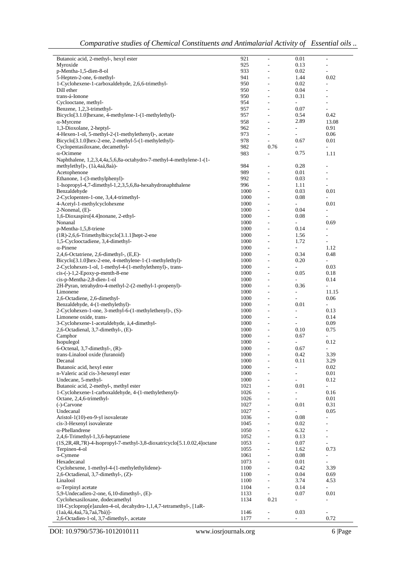| Butanoic acid, 2-methyl-, hexyl ester                                         | 921  | L,                           | 0.01                     | $\overline{\phantom{a}}$     |
|-------------------------------------------------------------------------------|------|------------------------------|--------------------------|------------------------------|
| Myroxide                                                                      | 925  | L,                           | 0.13                     | ÷,                           |
|                                                                               |      |                              |                          |                              |
| p-Mentha-1,5-dien-8-ol                                                        | 933  | ÷,                           | 0.02                     | ÷,                           |
| 5-Hepten-2-one, 6-methyl-                                                     | 941  | ÷,                           | 1.44                     | 0.02                         |
| 1-Cyclohexene-1-carboxaldehyde, 2,6,6-trimethyl-                              | 950  | L,                           | 0.02                     | ÷,                           |
|                                                                               |      |                              |                          |                              |
| Dill ether                                                                    | 950  | $\overline{\phantom{m}}$     | 0.04                     | $\qquad \qquad \blacksquare$ |
| trans-á-Ionone                                                                | 950  | $\overline{a}$               | 0.31                     | ÷,                           |
|                                                                               |      |                              |                          |                              |
| Cyclooctane, methyl-                                                          | 954  | $\frac{1}{2}$                | $\overline{\phantom{a}}$ | $\frac{1}{2}$                |
| Benzene, 1,2,3-trimethyl-                                                     | 957  | L,                           | 0.07                     | L.                           |
| Bicyclo[3.1.0]hexane, 4-methylene-1-(1-methylethyl)-                          | 957  | $\overline{\phantom{a}}$     | 0.54                     | 0.42                         |
|                                                                               |      |                              |                          |                              |
| $\alpha$ -Myrcene                                                             | 958  | ÷,                           | 2.89                     | 13.08                        |
| 1,3-Dioxolane, 2-heptyl-                                                      | 962  | ÷,                           | $\overline{\phantom{0}}$ | 0.91                         |
|                                                                               |      |                              |                          |                              |
| 4-Hexen-1-ol, 5-methyl-2-(1-methylethenyl)-, acetate                          | 973  | ÷,                           | ÷.                       | 0.06                         |
| Bicyclo[3.1.0]hex-2-ene, 2-methyl-5-(1-methylethyl)-                          | 978  | $\frac{1}{2}$                | 0.67                     | 0.01                         |
|                                                                               | 982  | 0.76                         |                          | L.                           |
| Cyclopentasiloxane, decamethyl-                                               |      |                              |                          |                              |
| $\alpha$ -Ocimene                                                             | 983  | $\overline{a}$               | 0.75                     | 1.11                         |
| Naphthalene, 1,2,3,4,4a,5,6,8a-octahydro-7-methyl-4-methylene-1-(1-           |      |                              |                          |                              |
|                                                                               |      |                              |                          |                              |
| methylethyl)-, (1à,4aá,8aà)-                                                  | 984  | ÷,                           | 0.28                     | ÷,                           |
| Acetophenone                                                                  | 989  | $\overline{a}$               | 0.01                     | ÷,                           |
| Ethanone, 1-(3-methylphenyl)-                                                 | 992  | L,                           | 0.03                     | L.                           |
|                                                                               |      |                              |                          |                              |
| 1-Isopropyl-4,7-dimethyl-1,2,3,5,6,8a-hexahydronaphthalene                    | 996  | $\frac{1}{2}$                | 1.11                     | $\overline{\phantom{a}}$     |
| Benzaldehyde                                                                  | 1000 | ÷,                           | 0.03                     | 0.01                         |
|                                                                               |      |                              |                          |                              |
| 2-Cyclopenten-1-one, 3,4,4-trimethyl-                                         | 1000 | $\overline{a}$               | 0.08                     | $\overline{\phantom{a}}$     |
| 4-Acetyl-1-methylcyclohexene                                                  | 1000 | $\overline{a}$               | $\sim$                   | 0.01                         |
| 2-Nonenal, (E)-                                                               | 1000 | ÷,                           | 0.04                     | $\overline{a}$               |
|                                                                               |      |                              |                          |                              |
| 1,6-Dioxaspiro[4.4]nonane, 2-ethyl-                                           | 1000 | ÷,                           | 0.08                     | ÷,                           |
| Nonanal                                                                       | 1000 | ÷,                           | $\overline{a}$           | 0.69                         |
|                                                                               |      |                              |                          |                              |
| p-Mentha-1,5,8-triene                                                         | 1000 | ÷,                           | 0.14                     | ÷,                           |
| (1R)-2,6,6-Trimethylbicyclo[3.1.1]hept-2-ene                                  | 1000 | ÷,                           | 1.56                     | ÷,                           |
|                                                                               |      |                              |                          |                              |
| 1,5-Cyclooctadiene, 3,4-dimethyl-                                             | 1000 | $\overline{\phantom{m}}$     | 1.72                     | $\frac{1}{2}$                |
| $\alpha$ -Pinene                                                              | 1000 | ÷,                           | ÷,                       | 1.12                         |
| $2,4,6$ -Octatriene, 2,6-dimethyl-, $(E,E)$ -                                 | 1000 | $\overline{\phantom{a}}$     | 0.34                     | 0.48                         |
|                                                                               |      |                              |                          |                              |
| Bicyclo <sup>[3.1.0]</sup> hex-2-ene, 4-methylene-1-(1-methylethyl)-          | 1000 | L.                           | 0.20                     | ÷,                           |
| 2-Cyclohexen-1-ol, 1-methyl-4-(1-methylethenyl)-, trans-                      | 1000 | $\overline{a}$               | ÷,                       | 0.03                         |
|                                                                               |      |                              |                          |                              |
| $cis$ -(-)-1,2-Epoxy-p-menth-8-ene                                            | 1000 | $\overline{a}$               | 0.05                     | 0.18                         |
| cis-p-Mentha-2,8-dien-1-ol                                                    | 1000 | ÷,                           | L.                       | 0.14                         |
| 2H-Pyran, tetrahydro-4-methyl-2-(2-methyl-1-propenyl)-                        | 1000 | L,                           | 0.36                     | $\overline{\phantom{a}}$     |
|                                                                               |      |                              |                          |                              |
| Limonene                                                                      | 1000 | L,                           | ÷.                       | 11.15                        |
| 2,6-Octadiene, 2,6-dimethyl-                                                  | 1000 | L,                           | L                        | 0.06                         |
|                                                                               |      |                              |                          |                              |
| Benzaldehyde, 4-(1-methylethyl)-                                              | 1000 | ÷,                           | 0.01                     | L.                           |
| 2-Cyclohexen-1-one, 3-methyl-6-(1-methylethenyl)-, (S)-                       | 1000 | $\overline{a}$               | L.                       | 0.13                         |
| Limonene oxide, trans-                                                        | 1000 | ÷,                           | $\overline{\phantom{0}}$ | 0.14                         |
|                                                                               |      |                              |                          |                              |
| 3-Cyclohexene-1-acetaldehyde, à,4-dimethyl-                                   | 1000 | $\qquad \qquad \blacksquare$ | ÷,                       | 0.09                         |
| 2,6-Octadienal, 3,7-dimethyl-, (E)-                                           | 1000 | L,                           | 0.10                     | 0.75                         |
|                                                                               |      |                              |                          |                              |
| Camphor                                                                       | 1000 | $\overline{a}$               | 0.67                     | $\overline{\phantom{a}}$     |
| Isopulegol                                                                    | 1000 | L,                           |                          | 0.12                         |
| 6-Octenal, 3,7-dimethyl-, (R)-                                                | 1000 | $\overline{a}$               | 0.67                     | L,                           |
|                                                                               |      |                              |                          |                              |
| trans-Linalool oxide (furanoid)                                               | 1000 | ÷.                           | 0.42                     | 3.39                         |
| Decanal                                                                       | 1000 | $\overline{a}$               | 0.11                     | 3.29                         |
| Butanoic acid, hexyl ester                                                    | 1000 |                              | $\overline{a}$           | 0.02                         |
|                                                                               |      |                              |                          |                              |
| n-Valeric acid cis-3-hexenyl ester                                            | 1000 | L,                           | L                        | 0.01                         |
| Undecane, 5-methyl-                                                           | 1000 | L,                           | $\overline{a}$           | 0.12                         |
|                                                                               |      |                              |                          |                              |
| Butanoic acid, 2-methyl-, methyl ester                                        | 1021 | L,                           | 0.01                     | L.                           |
| 1-Cyclohexene-1-carboxaldehyde, 4-(1-methylethenyl)-                          | 1026 | L,                           | ÷                        | 0.16                         |
| Octane, 2,4,6-trimethyl-                                                      | 1026 | L,                           | $\overline{a}$           | 0.01                         |
|                                                                               |      |                              |                          |                              |
| (-)-Carvone                                                                   | 1027 | L,                           | 0.01                     | 0.31                         |
| Undecanal                                                                     | 1027 | ÷,                           |                          | 0.05                         |
| Aristol-1(10)-en-9-yl isovalerate                                             | 1036 | $\frac{1}{2}$                | $0.08\,$                 | $\qquad \qquad \blacksquare$ |
|                                                                               |      |                              |                          |                              |
| cis-3-Hexenyl isovalerate                                                     | 1045 | L,                           | 0.02                     | ÷,                           |
| $\alpha$ -Phellandrene                                                        | 1050 | $\overline{a}$               | 6.32                     | $\overline{\phantom{a}}$     |
| 2,4,6-Trimethyl-1,3,6-heptatriene                                             |      | L,                           |                          | ÷.                           |
|                                                                               | 1052 |                              | 0.13                     |                              |
| $(1S, 2R, 4R, 7R)$ -4-Isopropyl-7-methyl-3,8-dioxatricyclo[5.1.0.02,4] octane | 1053 | $\overline{a}$               | 0.07                     | ÷,                           |
| Terpinen-4-ol                                                                 | 1055 | L,                           | 1.62                     | 0.73                         |
|                                                                               |      |                              |                          |                              |
| o-Cymene                                                                      | 1061 | L,                           | 0.08                     | ÷,                           |
| Hexadecanal                                                                   | 1073 | L,                           | 0.01                     | ÷,                           |
|                                                                               |      |                              |                          |                              |
| Cyclohexene, 1-methyl-4-(1-methylethylidene)-                                 | 1100 | L,                           | 0.42                     | 3.39                         |
| 2,6-Octadienal, $3,7$ -dimethyl-, $(Z)$ -                                     | 1100 | L,                           | 0.04                     | 0.69                         |
| Linalool                                                                      | 1100 | L,                           | 3.74                     | 4.53                         |
|                                                                               |      |                              |                          |                              |
| $\alpha$ -Terpinyl acetate                                                    | 1104 | ÷,                           | 0.14                     | $\overline{a}$               |
| 5,9-Undecadien-2-one, 6,10-dimethyl-, (E)-                                    | 1133 | L.                           | 0.07                     | 0.01                         |
| Cyclohexasiloxane, dodecamethyl                                               |      | 0.21                         |                          |                              |
|                                                                               | 1134 |                              | $\overline{\phantom{0}}$ | ÷,                           |
| 1H-Cycloprop[e]azulen-4-ol, decahydro-1,1,4,7-tetramethyl-, [1aR-             |      |                              |                          |                              |
| $(1a\hat{a}, 4\hat{a}, 4a\hat{a}, 7\hat{a}, 7a\hat{a}, 7b\hat{a})$ ]-         | 1146 | $\frac{1}{2}$                | 0.03                     | $\overline{\phantom{a}}$     |
| 2,6-Octadien-1-ol, 3,7-dimethyl-, acetate                                     | 1177 |                              |                          | 0.72                         |
|                                                                               |      |                              |                          |                              |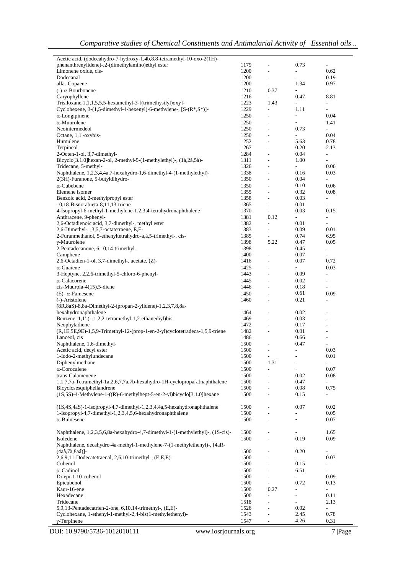| Acetic acid, (dodecahydro-7-hydroxy-1,4b,8,8-tetramethyl-10-oxo-2(1H)-         |      |                              |                             |                             |
|--------------------------------------------------------------------------------|------|------------------------------|-----------------------------|-----------------------------|
| phenanthrenylidene)-,2-(dimethylamino)ethyl ester                              | 1179 | $\overline{\phantom{a}}$     | 0.73                        | $\overline{\phantom{a}}$    |
| Limonene oxide, cis-                                                           | 1200 | L.                           | $\overline{\phantom{a}}$    | 0.62                        |
| Dodecanal                                                                      | 1200 | $\overline{\phantom{a}}$     | ÷                           | 0.19                        |
| alfa.-Copaene                                                                  | 1200 | $\overline{\phantom{a}}$     | 1.34                        | 0.97                        |
| $(-)$ - $\alpha$ -Bourbonene                                                   | 1210 | 0.37                         | $\overline{\phantom{a}}$    | $\mathcal{L}^{\mathcal{A}}$ |
|                                                                                | 1216 | $\overline{\phantom{a}}$     |                             |                             |
| Caryophyllene                                                                  |      |                              | 0.47                        | 8.81                        |
| $Trisiloxane, 1, 1, 1, 5, 5, 5$ -hexamethyl-3-[(trimethysilyl) $oxy$ ]-        | 1223 | 1.43                         | $\overline{\phantom{a}}$    | $\overline{\phantom{a}}$    |
| Cyclohexene, 3-(1,5-dimethyl-4-hexenyl)-6-methylene-, [S-(R*,S*)]-             | 1229 | $\overline{\phantom{a}}$     | 1.11                        | $\sim$                      |
| $\alpha$ -Longipinene                                                          | 1250 | $\overline{\phantom{a}}$     | $\overline{\phantom{a}}$    | 0.04                        |
| $\alpha$ -Muurolene                                                            | 1250 | $\overline{\phantom{a}}$     | ÷                           | 1.41                        |
| Neointermedeol                                                                 | 1250 | ÷,                           | 0.73                        | $\overline{\phantom{a}}$    |
| Octane, 1,1'-oxybis-                                                           | 1250 | $\blacksquare$               | $\overline{\phantom{a}}$    | 0.04                        |
| Humulene                                                                       | 1252 | $\overline{\phantom{a}}$     | 5.63                        | 0.78                        |
|                                                                                |      |                              |                             |                             |
| Terpineol                                                                      | 1267 | $\overline{\phantom{a}}$     | 0.20                        | 2.13                        |
| 2-Octen-1-ol, 3,7-dimethyl-                                                    | 1284 | $\overline{\phantom{a}}$     | 0.04                        | $\overline{\phantom{a}}$    |
| Bicyclo[3.1.0]hexan-2-ol, 2-methyl-5-(1-methylethyl)-, (1à,2á,5à)-             | 1311 | $\overline{\phantom{a}}$     | 1.00                        | $\overline{\phantom{a}}$    |
| Tridecane, 5-methyl-                                                           | 1326 | $\overline{\phantom{a}}$     | $\overline{\phantom{a}}$    | 0.06                        |
| Naphthalene, 1,2,3,4,4a,7-hexahydro-1,6-dimethyl-4-(1-methylethyl)-            | 1338 | $\overline{\phantom{a}}$     | 0.16                        | 0.03                        |
| 2(3H)-Furanone, 5-butyldihydro-                                                | 1350 | $\overline{\phantom{a}}$     | 0.04                        | $\mathcal{L}$               |
| $\alpha$ -Cubebene                                                             | 1350 | $\overline{\phantom{a}}$     | 0.10                        | 0.06                        |
| Elemene isomer                                                                 | 1355 | $\overline{\phantom{a}}$     | 0.32                        | 0.08                        |
| Benzoic acid, 2-methylpropyl ester                                             | 1358 | $\sim$                       | 0.03                        | $\overline{\phantom{a}}$    |
|                                                                                |      |                              |                             |                             |
| 10,18-Bisnorabieta-8,11,13-triene                                              | 1365 | $\overline{\phantom{a}}$     | 0.01                        | $\overline{\phantom{a}}$    |
| 4-Isopropyl-6-methyl-1-methylene-1,2,3,4-tetrahydronaphthalene                 | 1370 | ä,                           | 0.03                        | 0.15                        |
| Anthracene, 9-phenyl-                                                          | 1381 | 0.12                         | ÷.                          | $\Box$                      |
| 2,6-Octadienoic acid, 3,7-dimethyl-, methyl ester                              | 1382 | ä,                           | 0.01                        | $\overline{a}$              |
| 2,6-Dimethyl-1,3,5,7-octatetraene, E,E-                                        | 1383 | $\overline{\phantom{a}}$     | 0.09                        | 0.01                        |
| 2-Furanmethanol, 5-ethenyltetrahydro-à,à,5-trimethyl-, cis-                    | 1385 | $\overline{\phantom{a}}$     | 0.74                        | 6.95                        |
| $\gamma$ -Muurolene                                                            | 1398 | 5.22                         | 0.47                        | 0.05                        |
| 2-Pentadecanone, 6,10,14-trimethyl-                                            | 1398 | $\overline{\phantom{a}}$     | 0.45                        | $\overline{\phantom{a}}$    |
|                                                                                |      |                              |                             |                             |
| Camphene                                                                       | 1400 | $\overline{\phantom{a}}$     | 0.07                        | $\overline{\phantom{a}}$    |
| 2,6-Octadien-1-ol, 3,7-dimethyl-, acetate, (Z)-                                | 1416 | $\overline{\phantom{a}}$     | 0.07                        | 0.72                        |
| $\alpha$ -Guaiene                                                              | 1425 | $\overline{\phantom{a}}$     | $\mathcal{L}_{\mathcal{A}}$ | 0.03                        |
| 3-Heptyne, 2,2,6-trimethyl-5-chloro-6-phenyl-                                  | 1443 | $\overline{\phantom{a}}$     | 0.09                        | $\sim$                      |
| $\alpha$ -Calacorene                                                           | 1445 | $\overline{\phantom{a}}$     | 0.02                        | $\overline{\phantom{a}}$    |
| cis-Muurola-4(15),5-diene                                                      | 1446 | $\overline{\phantom{a}}$     | 0.18                        | $\overline{\phantom{a}}$    |
|                                                                                |      |                              | 0.61                        |                             |
| $(E)$ - $\alpha$ -Famesene                                                     | 1450 | $\overline{\phantom{a}}$     |                             | 0.09                        |
| (-)-Aristolene                                                                 | 1460 | $\overline{\phantom{a}}$     | 0.21                        | $\overline{\phantom{a}}$    |
| (8R,8aS)-8,8a-Dimethyl-2-(propan-2-ylidene)-1,2,3,7,8,8a-                      |      |                              |                             |                             |
| hexahydronaphthalene                                                           | 1464 | ÷,                           | 0.02                        |                             |
| Benzene, 1,1'-(1,1,2,2-tetramethyl-1,2-ethanediyl)bis-                         | 1469 | $\overline{\phantom{a}}$     | 0.03                        | ÷                           |
| Neophytadiene                                                                  | 1472 | $\sim$                       | 0.17                        | $\overline{a}$              |
| (R,1E,5E,9E)-1,5,9-Trimethyl-12-(prop-1-en-2-yl)cyclotetradeca-1,5,9-triene    | 1482 | $\overline{\phantom{a}}$     | 0.01                        | ÷                           |
| Lanceol, cis                                                                   | 1486 |                              | 0.66                        | $\overline{\phantom{a}}$    |
| Naphthalene, 1,6-dimethyl-                                                     | 1500 |                              | 0.47                        | $\overline{\phantom{a}}$    |
|                                                                                |      | $\overline{\phantom{a}}$     |                             |                             |
| Acetic acid, decyl ester                                                       | 1500 | $\overline{\phantom{a}}$     | $\overline{\phantom{a}}$    | 0.03                        |
| 1-Iodo-2-methylundecane                                                        | 1500 | $\qquad \qquad \blacksquare$ |                             | 0.01                        |
| Diphenylmethane                                                                | 1500 | 1.31                         | ÷,                          | $\overline{\phantom{a}}$    |
| $\alpha$ -Corocalene                                                           | 1500 | ÷,                           |                             | 0.07                        |
| trans-Calamenene                                                               | 1500 | L.                           | 0.02                        | 0.08                        |
| 1,1,7,7a-Tetramethyl-1a,2,6,7,7a,7b-hexahydro-1H-cyclopropa[a]naphthalene      | 1500 | ÷,                           | 0.47                        | $\sim$                      |
| Bicyclosesquiphellandrene                                                      | 1500 | ÷,                           | 0.08                        | 0.75                        |
|                                                                                |      |                              |                             |                             |
| (1S,5S)-4-Methylene-1-((R)-6-methylhept-5-en-2-yl)bicyclo[3.1.0]hexane         | 1500 | ÷,                           | 0.15                        | $\overline{\phantom{a}}$    |
|                                                                                |      |                              |                             |                             |
| $(1S, 4S, 4aS)$ -1-Isopropyl-4,7-dimethyl-1,2,3,4,4a,5-hexahydronaphthalene    | 1500 | $\overline{\phantom{a}}$     | 0.07                        | 0.02                        |
| 1-Isopropyl-4,7-dimethyl-1,2,3,4,5,6-hexahydronaphthalene                      | 1500 | $\blacksquare$               |                             | 0.05                        |
| $\alpha$ -Bulnesene                                                            | 1500 | L.                           |                             | 0.07                        |
|                                                                                |      |                              |                             |                             |
| Naphthalene, 1,2,3,5,6,8a-hexahydro-4,7-dimethyl-1-(1-methylethyl)-, (1S-cis)- | 1500 | $\overline{\phantom{a}}$     |                             | 1.65                        |
| Isoledene                                                                      | 1500 | $\overline{\phantom{a}}$     | 0.19                        | 0.09                        |
|                                                                                |      |                              |                             |                             |
| Naphthalene, decahydro-4a-methyl-1-methylene-7-(1-methylethenyl)-, [4aR-       |      |                              |                             |                             |
| (4aà,7à,8aá)]-                                                                 | 1500 | ÷,                           | 0.20                        | ÷,                          |
| 2,6,9,11-Dodecatetraenal, 2,6,10-trimethyl-, (E,E,E)-                          | 1500 | ÷.                           |                             | 0.03                        |
| Cubenol                                                                        | 1500 | $\overline{\phantom{a}}$     | 0.15                        | ÷,                          |
| α-Cadinol                                                                      | 1500 | $\blacksquare$               | 6.51                        | $\blacksquare$              |
| Di-epi-1,10-cubenol                                                            | 1500 | ä,                           | $\frac{1}{2}$               | 0.09                        |
| Epicubenol                                                                     | 1500 | ä,                           | 0.72                        | 0.13                        |
|                                                                                |      |                              |                             | $\overline{\phantom{a}}$    |
| Kaur-16-ene                                                                    | 1500 | 0.27                         | $\overline{\phantom{a}}$    |                             |
| Hexadecane                                                                     | 1500 | $\overline{\phantom{a}}$     | $\overline{\phantom{a}}$    | 0.11                        |
| Tridecane                                                                      | 1518 | $\overline{\phantom{a}}$     | $\overline{\phantom{a}}$    | 2.13                        |
| 5,9,13-Pentadecatrien-2-one, 6,10,14-trimethyl-, (E,E)-                        | 1526 | $\overline{\phantom{a}}$     | 0.02                        | $\blacksquare$              |
| Cyclohexane, 1-ethenyl-1-methyl-2,4-bis(1-methylethenyl)-                      | 1543 | $\overline{\phantom{a}}$     | 2.45                        | 0.78                        |
| $\gamma$ -Terpinene                                                            | 1547 | $\Box$                       | 4.26                        | 0.31                        |
|                                                                                |      |                              |                             |                             |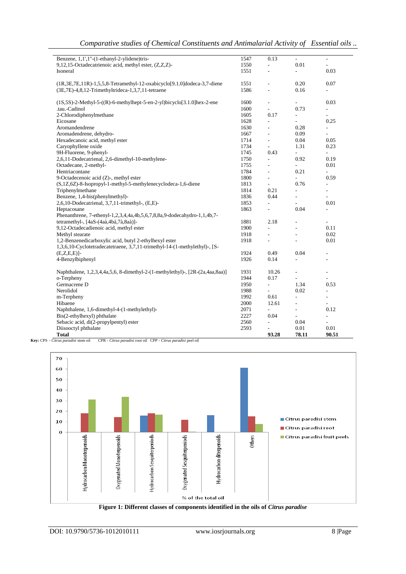|  |  | Comparative studies of Chemical Constituents and Antimalarial Activity of Essential oils |  |
|--|--|------------------------------------------------------------------------------------------|--|
|--|--|------------------------------------------------------------------------------------------|--|

| Benzene, 1,1',1"-(1-ethanyl-2-ylidene)tris-                                            | 1547 | 0.13                     | $\overline{\phantom{a}}$ | ٠              |
|----------------------------------------------------------------------------------------|------|--------------------------|--------------------------|----------------|
| 9,12,15-Octadecatrienoic acid, methyl ester, (Z,Z,Z)-                                  | 1550 | ÷,                       | 0.01                     | ÷,             |
| Isoneral                                                                               | 1551 |                          |                          | 0.03           |
| $(1R, 3E, 7E, 11R) - 1, 5, 5, 8$ -Tetramethyl-12-oxabicyclo $[9.1.0]$ dodeca-3,7-diene | 1551 | L,                       | 0.20                     | 0.07           |
| (3E,7E)-4,8,12-Trimethyltrideca-1,3,7,11-tetraene                                      | 1586 | $\overline{a}$           | 0.16                     |                |
| $(1S, 5S)$ -2-Methyl-5- $((R)$ -6-methylhept-5-en-2-yl)bicyclo $[3.1.0]$ hex-2-ene     | 1600 | ÷,                       | ÷                        | 0.03           |
| .tau.-Cadinol                                                                          | 1600 | $\overline{a}$           | 0.73                     | ÷,             |
| 2-Chlorodiphenylmethane                                                                | 1605 | 0.17                     | $\overline{\phantom{a}}$ |                |
| Eicosane                                                                               | 1628 | L.                       |                          | 0.25           |
| Aromandendrene                                                                         | 1630 | ÷,                       | 0.28                     | ÷,             |
| Aromadendrene, dehydro-                                                                | 1667 | $\overline{\phantom{a}}$ | 0.09                     | $\overline{a}$ |
| Hexadecanoic acid, methyl ester                                                        | 1714 | $\overline{\phantom{a}}$ | 0.04                     | 0.05           |
| Caryophyllene oxide                                                                    | 1734 | $\blacksquare$           | 1.31                     | 0.23           |
| 9H-Fluorene, 9-phenyl-                                                                 | 1745 | 0.43                     |                          |                |
| 2,6,11-Dodecatrienal, 2,6-dimethyl-10-methylene-                                       | 1750 | ÷,                       | 0.92                     | 0.19           |
| Octadecane, 2-methyl-                                                                  | 1755 | ÷,                       |                          | 0.01           |
| Hentriacontane                                                                         | 1784 | ÷,                       | 0.21                     | ÷,             |
| 9-Octadecenoic acid (Z)-, methyl ester                                                 | 1800 | $\overline{\phantom{a}}$ | ÷,                       | 0.59           |
| (S,1Z,6Z)-8-Isopropyl-1-methyl-5-methylenecyclodeca-1,6-diene                          | 1813 | ÷,                       | 0.76                     | ÷,             |
| Triphenylmethane                                                                       | 1814 | 0.21                     | ÷.                       | ÷,             |
| Benzene, 1,4-bis(phenylmethyl)-                                                        | 1836 | 0.44                     | $\overline{\phantom{0}}$ | $\overline{a}$ |
| 2,6,10-Dodecatrienal, 3,7,11-trimethyl-, (E,E)-                                        | 1853 | $\overline{\phantom{a}}$ |                          | 0.01           |
| Heptacosane                                                                            | 1863 | $\overline{\phantom{a}}$ | 0.04                     | ÷,             |
| Phenanthrene, 7-ethenyl-1,2,3,4,4a,4b,5,6,7,8,8a,9-dodecahydro-1,1,4b,7-               |      |                          |                          |                |
| tetramethyl-, [4aS-(4aà,4bá,7à,8aà)]-                                                  | 1881 | 2.18                     |                          | L.             |
| 9,12-Octadecadienoic acid, methyl ester                                                | 1900 | ÷.                       | ÷,                       | 0.11           |
| Methyl stearate                                                                        | 1918 | ÷.                       |                          | 0.02           |
| 1,2-Benzenedicarboxylic acid, butyl 2-ethylhexyl ester                                 | 1918 | $\overline{\phantom{a}}$ | ٠                        | 0.01           |
| 1,3,6,10-Cyclotetradecatetraene, 3,7,11-trimethyl-14-(1-methylethyl)-, [S-             |      |                          |                          |                |
| $(E,Z,E,E)$ ]-                                                                         | 1924 | 0.49                     | 0.04                     |                |
| 4-Benzylbiphenyl                                                                       | 1926 | 0.14                     | L.                       | L,             |
| Naphthalene, 1,2,3,4,4a,5,6, 8-dimethyl-2-(1-methylethyl)-, [2R-(2a,4aa,8aa)]          | 1931 | 10.26                    | ÷,                       | L,             |
| o-Terpheny                                                                             | 1944 | 0.17                     |                          |                |
| Germacrene D                                                                           | 1950 | $\overline{\phantom{a}}$ | 1.34                     | 0.53           |
| Nerolidol                                                                              | 1988 | $\overline{\phantom{a}}$ | 0.02                     | $\overline{a}$ |
| m-Terpheny                                                                             | 1992 | 0.61                     | ÷.                       | L,             |
| Hibaene                                                                                | 2000 | 12.61                    | ÷.                       | ÷              |
| Naphthalene, 1,6-dimethyl-4-(1-methylethyl)-                                           | 2071 | $\frac{1}{2}$            | $\overline{\phantom{m}}$ | 0.12           |
| Bis(2-ethylhexyl) phthalate                                                            | 2227 | 0.04                     |                          | L,             |
| Sebacic acid, di(2-propylpentyl) ester                                                 | 2560 | ÷,                       | 0.04                     | ÷,             |
| Diisooctyl phthalate                                                                   | 2593 |                          | 0.01                     | 0.01           |
| <b>Total</b><br>CPR - Citrus paradisi root oil CPP - Citrus paradisi peel oil          |      | 93.28                    | 78.11                    | 90.51          |





 $\overline{\phantom{a}}$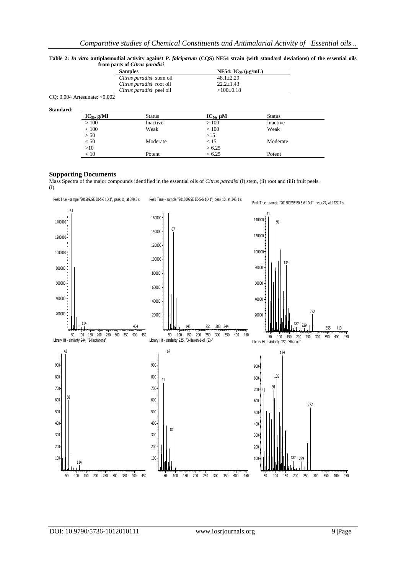|           |                                   | Hom parts of Carus puradist |                            |               |  |
|-----------|-----------------------------------|-----------------------------|----------------------------|---------------|--|
|           |                                   | <b>Samples</b>              | NF54: $IC_{50} (\mu g/mL)$ |               |  |
|           |                                   | Citrus paradisi stem oil    | $48.1 \pm 2.29$            |               |  |
|           |                                   | Citrus paradisi root oil    | $22.2 \pm 1.43$            |               |  |
|           |                                   | Citrus paradisi peel oil    | $>100\pm0.18$              |               |  |
|           | CO: $0.004$ Artesunate: < $0.002$ |                             |                            |               |  |
| Standard: |                                   |                             |                            |               |  |
|           | $IC_{50}$ , g/Ml                  | Status                      | $IC_{50}$ , $\mu$ M        | <b>Status</b> |  |
|           | >100                              | Inactive                    | >100                       | Inactive      |  |
|           | ${}< 100$                         | Weak                        | ${}_{< 100}$               | Weak          |  |
|           | > 50                              |                             | >15                        |               |  |
|           | < 50                              | Moderate                    | < 15                       | Moderate      |  |
|           | >10                               |                             | > 6.25                     |               |  |
|           | < 10                              | Potent                      | < 6.25                     | Potent        |  |

**Table 2:** *In vitro* **antiplasmodial activity against** *P. falciparum* **(CQS) NF54 strain (with standard deviations) of the essential oils from parts of** *Citrus paradisi*

#### **Supporting Documents**

Mass Spectra of the major compounds identified in the essential oils of *Citrus paradisi* (i) stem, (ii) root and (iii) fruit peels. (i)

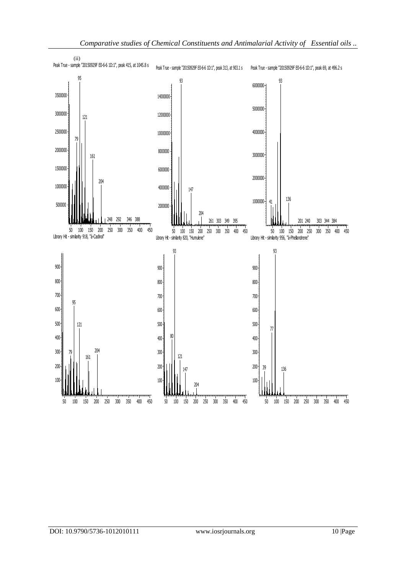